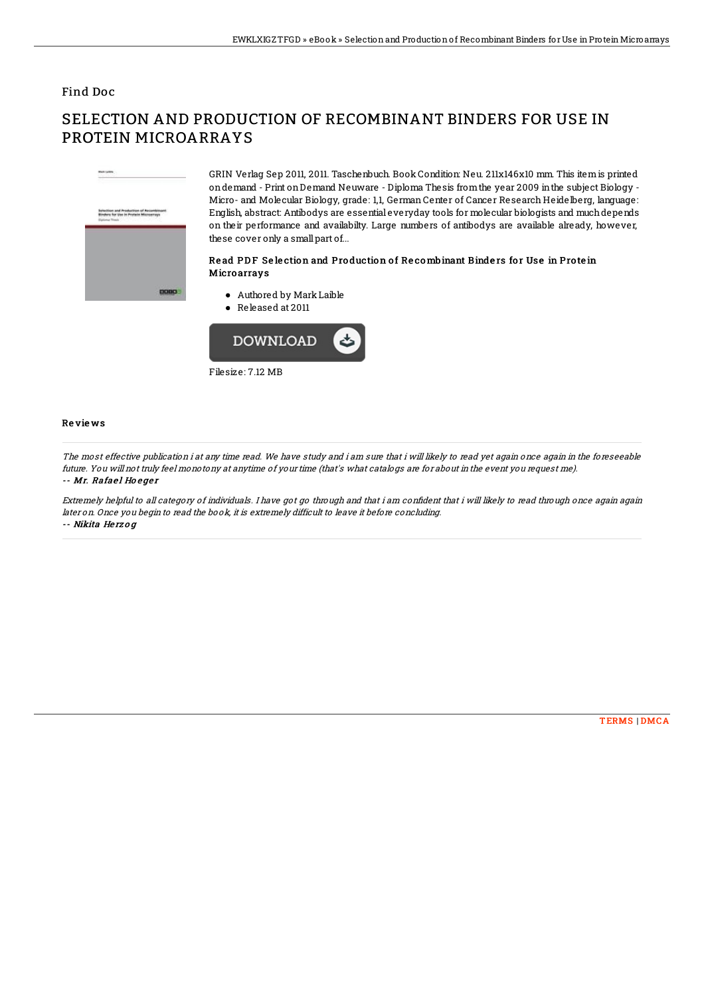### Find Doc

# nd Production of Recordpinant<br>Van in Protein Microsevery

0000

GRIN Verlag Sep 2011, 2011. Taschenbuch. Book Condition: Neu. 211x146x10 mm. This itemis printed ondemand - Print onDemand Neuware - Diploma Thesis fromthe year 2009 inthe subject Biology - Micro- and Molecular Biology, grade: 1,1, German Center of Cancer Research Heidelberg, language: English, abstract: Antibodys are essential everyday tools for molecular biologists and muchdepends on their performance and availabilty. Large numbers of antibodys are available already, however, these cover only a small part of...

#### Read PDF Selection and Production of Recombinant Binders for Use in Protein **Microarrays**

- Authored by MarkLaible
- Released at 2011



#### Re vie ws

The most effective publication i at any time read. We have study and i am sure that i will likely to read yet again once again in the foreseeable future. You will not truly feel monotony at anytime of your time (that's what catalogs are for about in the event you request me). -- Mr. Rafael Hoeger

Extremely helpful to all category of individuals. I have got go through and that i am confident that i will likely to read through once again again later on. Once you begin to read the book, it is extremely difficult to leave it before concluding. -- Nikita He rz <sup>o</sup> g

# SELECTION AND PRODUCTION OF RECOMBINANT BINDERS FOR USE IN PROTEIN MICROARRAYS